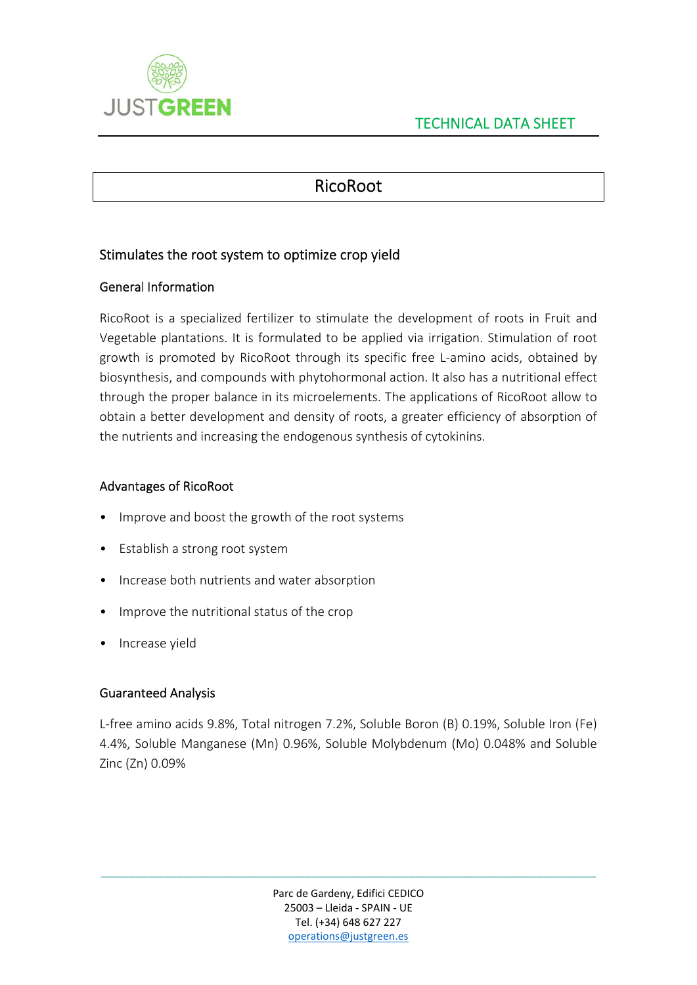

# RicoRoot

## Stimulates the root system to optimize crop yield

### General Information

RicoRoot is a specialized fertilizer to stimulate the development of roots in Fruit and Vegetable plantations. It is formulated to be applied via irrigation. Stimulation of root growth is promoted by RicoRoot through its specific free L‐amino acids, obtained by biosynthesis, and compounds with phytohormonal action. It also has a nutritional effect through the proper balance in its microelements. The applications of RicoRoot allow to obtain a better development and density of roots, a greater efficiency of absorption of the nutrients and increasing the endogenous synthesis of cytokinins.

#### Advantages of RicoRoot

- Improve and boost the growth of the root systems
- Establish a strong root system
- Increase both nutrients and water absorption
- Improve the nutritional status of the crop
- Increase yield

## Guaranteed Analysis

L‐free amino acids 9.8%, Total nitrogen 7.2%, Soluble Boron (B) 0.19%, Soluble Iron (Fe) 4.4%, Soluble Manganese (Mn) 0.96%, Soluble Molybdenum (Mo) 0.048% and Soluble Zinc (Zn) 0.09%

\_\_\_\_\_\_\_\_\_\_\_\_\_\_\_\_\_\_\_\_\_\_\_\_\_\_\_\_\_\_\_\_\_\_\_\_\_\_\_\_\_\_\_\_\_\_\_\_\_\_\_\_\_\_\_\_\_\_\_\_\_\_\_\_\_\_\_\_\_\_\_\_\_\_\_\_\_\_\_\_\_\_\_\_\_